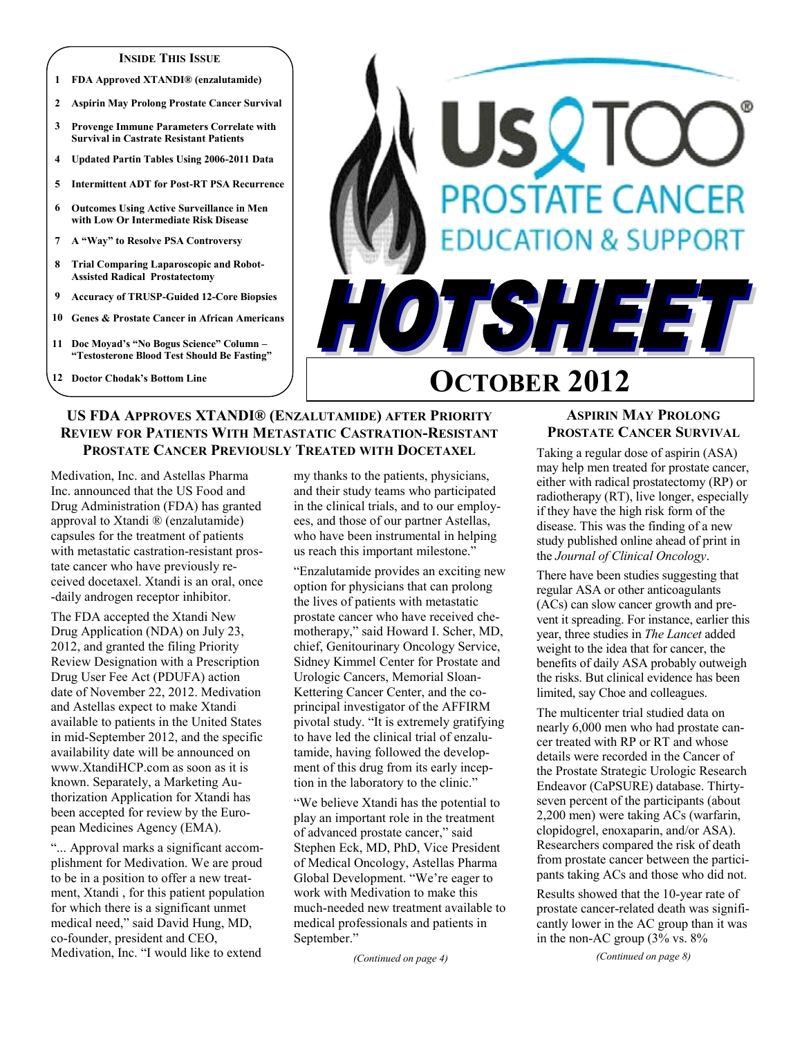#### **INSIDE THIS ISSUE**

- **1 FDA Approved XTANDI® (enzalutamide)**
- **2 Aspirin May Prolong Prostate Cancer Survival**
- **3 Provenge Immune Parameters Correlate with Survival in Castrate Resistant Patients**
- **4 Updated Partin Tables Using 2006-2011 Data**
- **5 Intermittent ADT for Post-RT PSA Recurrence**
- **6 Outcomes Using Active Surveillance in Men with Low Or Intermediate Risk Disease**
- **7 A "Way" to Resolve PSA Controversy**
- **8 Trial Comparing Laparoscopic and Robot-Assisted Radical Prostatectomy**
- **9 Accuracy of TRUSP-Guided 12-Core Biopsies**
- **10 Genes & Prostate Cancer in African Americans**
- **11 Doc Moyad's "No Bogus Science" Column – "Testosterone Blood Test Should Be Fasting"**
- **12 Doctor Chodak's Bottom Line**



# **OCTOBER 2012**

# **US FDA APPROVES XTANDI® (ENZALUTAMIDE) AFTER PRIORITY REVIEW FOR PATIENTS WITH METASTATIC CASTRATION-RESISTANT PROSTATE CANCER PREVIOUSLY TREATED WITH DOCETAXEL**

Medivation, Inc. and Astellas Pharma Inc. announced that the US Food and Drug Administration (FDA) has granted approval to Xtandi ® (enzalutamide) capsules for the treatment of patients with metastatic castration-resistant prostate cancer who have previously received docetaxel. Xtandi is an oral, once -daily androgen receptor inhibitor.

The FDA accepted the Xtandi New Drug Application (NDA) on July 23, 2012, and granted the filing Priority Review Designation with a Prescription Drug User Fee Act (PDUFA) action date of November 22, 2012. Medivation and Astellas expect to make Xtandi available to patients in the United States in mid-September 2012, and the specific availability date will be announced on www.XtandiHCP.com as soon as it is known. Separately, a Marketing Authorization Application for Xtandi has been accepted for review by the European Medicines Agency (EMA).

"... Approval marks a significant accomplishment for Medivation. We are proud to be in a position to offer a new treatment, Xtandi , for this patient population for which there is a significant unmet medical need," said David Hung, MD, co-founder, president and CEO, Medivation, Inc. "I would like to extend

my thanks to the patients, physicians, and their study teams who participated in the clinical trials, and to our employees, and those of our partner Astellas, who have been instrumental in helping us reach this important milestone."

"Enzalutamide provides an exciting new option for physicians that can prolong the lives of patients with metastatic prostate cancer who have received chemotherapy," said Howard I. Scher, MD, chief, Genitourinary Oncology Service, Sidney Kimmel Center for Prostate and Urologic Cancers, Memorial Sloan-Kettering Cancer Center, and the coprincipal investigator of the AFFIRM pivotal study. "It is extremely gratifying to have led the clinical trial of enzalutamide, having followed the development of this drug from its early inception in the laboratory to the clinic."

"We believe Xtandi has the potential to play an important role in the treatment of advanced prostate cancer," said Stephen Eck, MD, PhD, Vice President of Medical Oncology, Astellas Pharma Global Development. "We're eager to work with Medivation to make this much-needed new treatment available to medical professionals and patients in September."

*(Continued on page 4)*

# **ASPIRIN MAY PROLONG PROSTATE CANCER SURVIVAL**

Taking a regular dose of aspirin (ASA) may help men treated for prostate cancer, either with radical prostatectomy (RP) or radiotherapy (RT), live longer, especially if they have the high risk form of the disease. This was the finding of a new study published online ahead of print in the *Journal of Clinical Oncology*.

There have been studies suggesting that regular ASA or other anticoagulants (ACs) can slow cancer growth and prevent it spreading. For instance, earlier this year, three studies in *The Lancet* added weight to the idea that for cancer, the benefits of daily ASA probably outweigh the risks. But clinical evidence has been limited, say Choe and colleagues.

The multicenter trial studied data on nearly 6,000 men who had prostate cancer treated with RP or RT and whose details were recorded in the Cancer of the Prostate Strategic Urologic Research Endeavor (CaPSURE) database. Thirtyseven percent of the participants (about 2,200 men) were taking ACs (warfarin, clopidogrel, enoxaparin, and/or ASA). Researchers compared the risk of death from prostate cancer between the participants taking ACs and those who did not.

Results showed that the 10-year rate of prostate cancer-related death was significantly lower in the AC group than it was in the non-AC group (3% vs. 8%

*(Continued on page 8)*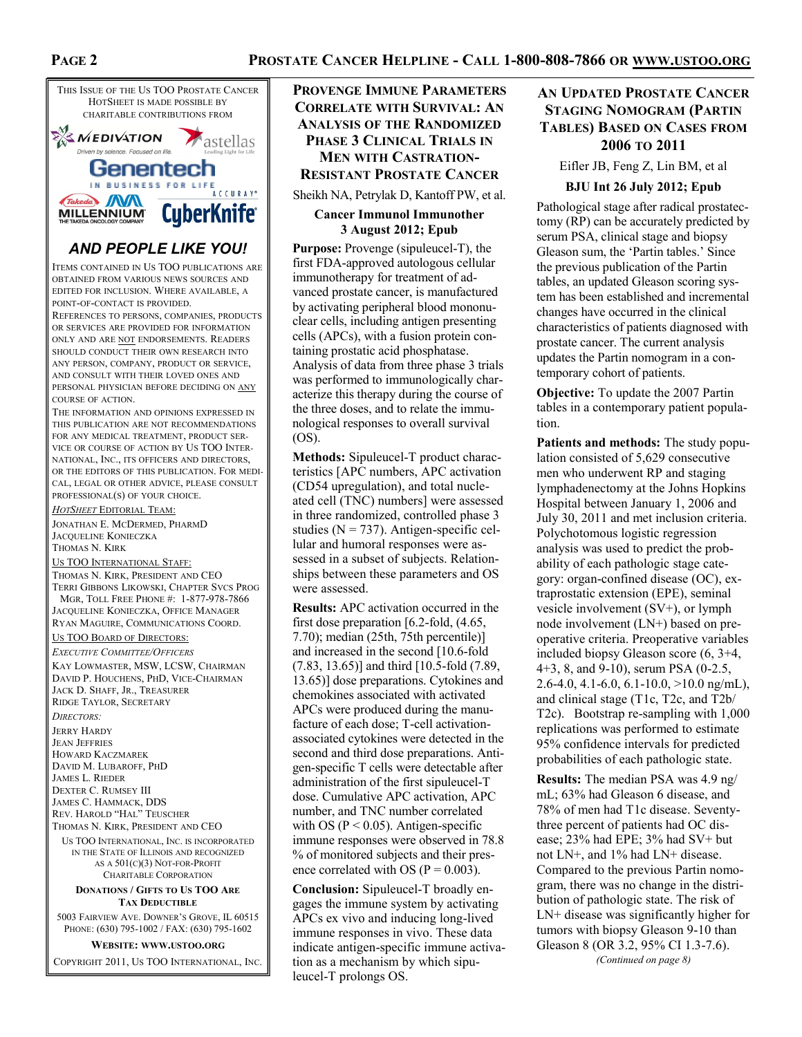# **PROSTATE CANCER HELPLINE - CALL 1-800-808-7866 OR WWW.USTOO.ORG**



# *AND PEOPLE LIKE YOU!*

ITEMS CONTAINED IN US TOO PUBLICATIONS ARE OBTAINED FROM VARIOUS NEWS SOURCES AND EDITED FOR INCLUSION. WHERE AVAILABLE, A POINT-OF-CONTACT IS PROVIDED.

REFERENCES TO PERSONS, COMPANIES, PRODUCTS OR SERVICES ARE PROVIDED FOR INFORMATION ONLY AND ARE NOT ENDORSEMENTS. READERS SHOULD CONDUCT THEIR OWN RESEARCH INTO ANY PERSON, COMPANY, PRODUCT OR SERVICE, AND CONSULT WITH THEIR LOVED ONES AND PERSONAL PHYSICIAN BEFORE DECIDING ON ANY COURSE OF ACTION.

THE INFORMATION AND OPINIONS EXPRESSED IN THIS PUBLICATION ARE NOT RECOMMENDATIONS FOR ANY MEDICAL TREATMENT, PRODUCT SER-VICE OR COURSE OF ACTION BY US TOO INTER-NATIONAL, INC., ITS OFFICERS AND DIRECTORS, OR THE EDITORS OF THIS PUBLICATION. FOR MEDI-CAL, LEGAL OR OTHER ADVICE, PLEASE CONSULT PROFESSIONAL(S) OF YOUR CHOICE.

*HOTSHEET* EDITORIAL TEAM: JONATHAN E. MCDERMED, PHARMD JACQUELINE KONIECZKA

THOMAS N. KIRK

US TOO INTERNATIONAL STAFF:

THOMAS N. KIRK, PRESIDENT AND CEO TERRI GIBBONS LIKOWSKI, CHAPTER SVCS PROG MGR, TOLL FREE PHONE #: 1-877-978-7866 JACQUELINE KONIECZKA, OFFICE MANAGER RYAN MAGUIRE, COMMUNICATIONS COORD.

#### US TOO BOARD OF DIRECTORS:

*EXECUTIVE COMMITTEE/OFFICERS* KAY LOWMASTER, MSW, LCSW, CHAIRMAN DAVID P. HOUCHENS, PHD, VICE-CHAIRMAN JACK D. SHAFF, JR., TREASURER RIDGE TAYLOR, SECRETARY

*DIRECTORS:* JERRY HARDY JEAN JEFFRIES HOWARD KACZMAREK DAVID M. LUBAROFF, PHD JAMES L. RIEDER DEXTER C. RUMSEY III JAMES C. HAMMACK, DDS REV. HAROLD "HAL" TEUSCHER

THOMAS N. KIRK, PRESIDENT AND CEO

US TOO INTERNATIONAL, INC. IS INCORPORATED IN THE STATE OF ILLINOIS AND RECOGNIZED AS A 501(C)(3) NOT-FOR-PROFIT CHARITABLE CORPORATION

#### **DONATIONS / GIFTS TO US TOO ARE TAX DEDUCTIBLE**

5003 FAIRVIEW AVE. DOWNER'S GROVE, IL 60515 PHONE: (630) 795-1002 / FAX: (630) 795-1602

**WEBSITE: WWW.USTOO.ORG**

COPYRIGHT 2011, US TOO INTERNATIONAL, INC.

# **PROVENGE IMMUNE PARAMETERS CORRELATE WITH SURVIVAL: AN ANALYSIS OF THE RANDOMIZED PHASE 3 CLINICAL TRIALS IN MEN WITH CASTRATION-RESISTANT PROSTATE CANCER**

Sheikh NA, Petrylak D, Kantoff PW, et al.

### **Cancer Immunol Immunother 3 August 2012; Epub**

**Purpose:** Provenge (sipuleucel-T), the first FDA-approved autologous cellular immunotherapy for treatment of advanced prostate cancer, is manufactured by activating peripheral blood mononuclear cells, including antigen presenting cells (APCs), with a fusion protein containing prostatic acid phosphatase. Analysis of data from three phase 3 trials was performed to immunologically characterize this therapy during the course of the three doses, and to relate the immunological responses to overall survival (OS).

**Methods:** Sipuleucel-T product characteristics [APC numbers, APC activation (CD54 upregulation), and total nucleated cell (TNC) numbers] were assessed in three randomized, controlled phase 3 studies ( $N = 737$ ). Antigen-specific cellular and humoral responses were assessed in a subset of subjects. Relationships between these parameters and OS were assessed.

**Results:** APC activation occurred in the first dose preparation [6.2-fold, (4.65, 7.70); median (25th, 75th percentile)] and increased in the second [10.6-fold (7.83, 13.65)] and third [10.5-fold (7.89, 13.65)] dose preparations. Cytokines and chemokines associated with activated APCs were produced during the manufacture of each dose; T-cell activationassociated cytokines were detected in the second and third dose preparations. Antigen-specific T cells were detectable after administration of the first sipuleucel-T dose. Cumulative APC activation, APC number, and TNC number correlated with OS ( $P < 0.05$ ). Antigen-specific immune responses were observed in 78.8 % of monitored subjects and their presence correlated with OS ( $P = 0.003$ ).

**Conclusion:** Sipuleucel-T broadly engages the immune system by activating APCs ex vivo and inducing long-lived immune responses in vivo. These data indicate antigen-specific immune activation as a mechanism by which sipuleucel-T prolongs OS.

# **AN UPDATED PROSTATE CANCER STAGING NOMOGRAM (PARTIN TABLES) BASED ON CASES FROM 2006 TO 2011**

Eifler JB, Feng Z, Lin BM, et al

#### **BJU Int 26 July 2012; Epub**

Pathological stage after radical prostatectomy (RP) can be accurately predicted by serum PSA, clinical stage and biopsy Gleason sum, the 'Partin tables.' Since the previous publication of the Partin tables, an updated Gleason scoring system has been established and incremental changes have occurred in the clinical characteristics of patients diagnosed with prostate cancer. The current analysis updates the Partin nomogram in a contemporary cohort of patients.

**Objective:** To update the 2007 Partin tables in a contemporary patient population.

**Patients and methods:** The study population consisted of 5,629 consecutive men who underwent RP and staging lymphadenectomy at the Johns Hopkins Hospital between January 1, 2006 and July 30, 2011 and met inclusion criteria. Polychotomous logistic regression analysis was used to predict the probability of each pathologic stage category: organ-confined disease (OC), extraprostatic extension (EPE), seminal vesicle involvement (SV+), or lymph node involvement (LN+) based on preoperative criteria. Preoperative variables included biopsy Gleason score (6, 3+4, 4+3, 8, and 9-10), serum PSA (0-2.5, 2.6-4.0, 4.1-6.0, 6.1-10.0,  $>10.0$  ng/mL), and clinical stage (T1c, T2c, and T2b/ T2c). Bootstrap re-sampling with 1,000 replications was performed to estimate 95% confidence intervals for predicted probabilities of each pathologic state.

**Results:** The median PSA was 4.9 ng/ mL; 63% had Gleason 6 disease, and 78% of men had T1c disease. Seventythree percent of patients had OC disease; 23% had EPE; 3% had SV+ but not LN+, and 1% had LN+ disease. Compared to the previous Partin nomogram, there was no change in the distribution of pathologic state. The risk of LN+ disease was significantly higher for tumors with biopsy Gleason 9-10 than Gleason 8 (OR 3.2, 95% CI 1.3-7.6). *(Continued on page 8)*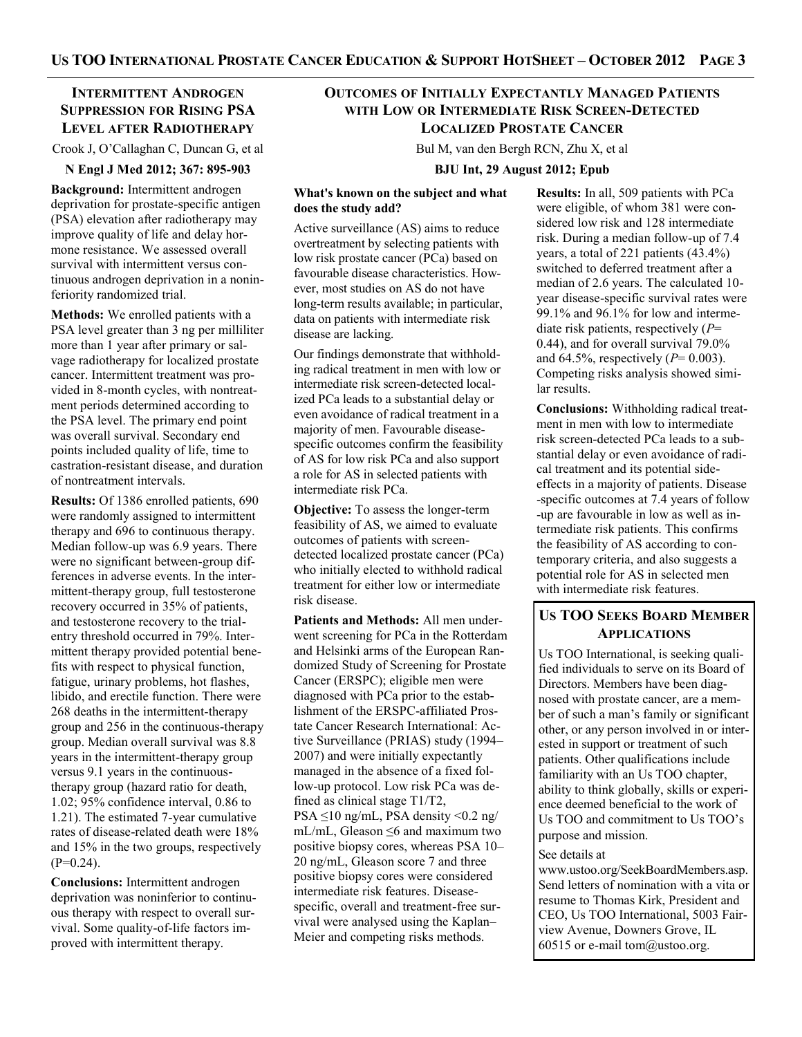# **INTERMITTENT ANDROGEN SUPPRESSION FOR RISING PSA LEVEL AFTER RADIOTHERAPY**

Crook J, O'Callaghan C, Duncan G, et al

#### **N Engl J Med 2012; 367: 895-903**

**Background:** Intermittent androgen deprivation for prostate-specific antigen (PSA) elevation after radiotherapy may improve quality of life and delay hormone resistance. We assessed overall survival with intermittent versus continuous androgen deprivation in a noninferiority randomized trial.

**Methods:** We enrolled patients with a PSA level greater than 3 ng per milliliter more than 1 year after primary or salvage radiotherapy for localized prostate cancer. Intermittent treatment was provided in 8-month cycles, with nontreatment periods determined according to the PSA level. The primary end point was overall survival. Secondary end points included quality of life, time to castration-resistant disease, and duration of nontreatment intervals.

**Results:** Of 1386 enrolled patients, 690 were randomly assigned to intermittent therapy and 696 to continuous therapy. Median follow-up was 6.9 years. There were no significant between-group differences in adverse events. In the intermittent-therapy group, full testosterone recovery occurred in 35% of patients, and testosterone recovery to the trialentry threshold occurred in 79%. Intermittent therapy provided potential benefits with respect to physical function, fatigue, urinary problems, hot flashes, libido, and erectile function. There were 268 deaths in the intermittent-therapy group and 256 in the continuous-therapy group. Median overall survival was 8.8 years in the intermittent-therapy group versus 9.1 years in the continuoustherapy group (hazard ratio for death, 1.02; 95% confidence interval, 0.86 to 1.21). The estimated 7-year cumulative rates of disease-related death were 18% and 15% in the two groups, respectively  $(P=0.24)$ .

**Conclusions:** Intermittent androgen deprivation was noninferior to continuous therapy with respect to overall survival. Some quality-of-life factors improved with intermittent therapy.

# **OUTCOMES OF INITIALLY EXPECTANTLY MANAGED PATIENTS WITH LOW OR INTERMEDIATE RISK SCREEN-DETECTED LOCALIZED PROSTATE CANCER**

Bul M, van den Bergh RCN, Zhu X, et al

### **BJU Int, 29 August 2012; Epub**

### **What's known on the subject and what does the study add?**

Active surveillance (AS) aims to reduce overtreatment by selecting patients with low risk prostate cancer (PCa) based on favourable disease characteristics. However, most studies on AS do not have long-term results available; in particular, data on patients with intermediate risk disease are lacking.

Our findings demonstrate that withholding radical treatment in men with low or intermediate risk screen-detected localized PCa leads to a substantial delay or even avoidance of radical treatment in a majority of men. Favourable diseasespecific outcomes confirm the feasibility of AS for low risk PCa and also support a role for AS in selected patients with intermediate risk PCa.

**Objective:** To assess the longer-term feasibility of AS, we aimed to evaluate outcomes of patients with screendetected localized prostate cancer (PCa) who initially elected to withhold radical treatment for either low or intermediate risk disease.

**Patients and Methods:** All men underwent screening for PCa in the Rotterdam and Helsinki arms of the European Randomized Study of Screening for Prostate Cancer (ERSPC); eligible men were diagnosed with PCa prior to the establishment of the ERSPC-affiliated Prostate Cancer Research International: Active Surveillance (PRIAS) study (1994– 2007) and were initially expectantly managed in the absence of a fixed follow-up protocol. Low risk PCa was defined as clinical stage T1/T2, PSA ≤10 ng/mL, PSA density <0.2 ng/ mL/mL, Gleason ≤6 and maximum two positive biopsy cores, whereas PSA 10– 20 ng/mL, Gleason score 7 and three positive biopsy cores were considered intermediate risk features. Diseasespecific, overall and treatment-free survival were analysed using the Kaplan– Meier and competing risks methods.

**Results:** In all, 509 patients with PCa were eligible, of whom 381 were considered low risk and 128 intermediate risk. During a median follow-up of 7.4 years, a total of 221 patients (43.4%) switched to deferred treatment after a median of 2.6 years. The calculated 10 year disease-specific survival rates were 99.1% and 96.1% for low and intermediate risk patients, respectively (*P*= 0.44), and for overall survival 79.0% and 64.5%, respectively (*P*= 0.003). Competing risks analysis showed similar results.

**Conclusions:** Withholding radical treatment in men with low to intermediate risk screen-detected PCa leads to a substantial delay or even avoidance of radical treatment and its potential sideeffects in a majority of patients. Disease -specific outcomes at 7.4 years of follow -up are favourable in low as well as intermediate risk patients. This confirms the feasibility of AS according to contemporary criteria, and also suggests a potential role for AS in selected men with intermediate risk features.

# **US TOO SEEKS BOARD MEMBER APPLICATIONS**

Us TOO International, is seeking qualified individuals to serve on its Board of Directors. Members have been diagnosed with prostate cancer, are a member of such a man's family or significant other, or any person involved in or interested in support or treatment of such patients. Other qualifications include familiarity with an Us TOO chapter, ability to think globally, skills or experience deemed beneficial to the work of Us TOO and commitment to Us TOO's purpose and mission.

#### See details at

www.ustoo.org/SeekBoardMembers.asp. Send letters of nomination with a vita or resume to Thomas Kirk, President and CEO, Us TOO International, 5003 Fairview Avenue, Downers Grove, IL 60515 or e-mail tom $@$ ustoo.org.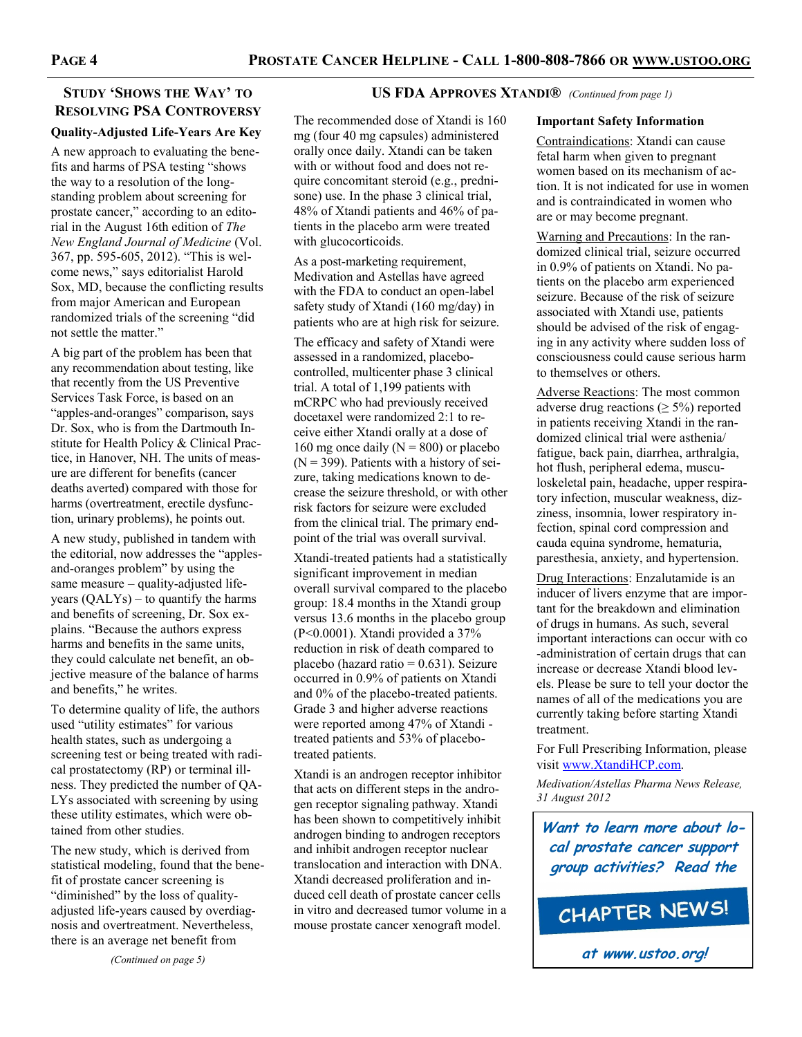# **STUDY 'SHOWS THE WAY' TO RESOLVING PSA CONTROVERSY**

# **Quality-Adjusted Life-Years Are Key**

A new approach to evaluating the benefits and harms of PSA testing "shows the way to a resolution of the longstanding problem about screening for prostate cancer," according to an editorial in the August 16th edition of *The New England Journal of Medicine* (Vol. 367, pp. 595-605, 2012). "This is welcome news," says editorialist Harold Sox, MD, because the conflicting results from major American and European randomized trials of the screening "did not settle the matter."

A big part of the problem has been that any recommendation about testing, like that recently from the US Preventive Services Task Force, is based on an "apples-and-oranges" comparison, says Dr. Sox, who is from the Dartmouth Institute for Health Policy & Clinical Practice, in Hanover, NH. The units of measure are different for benefits (cancer deaths averted) compared with those for harms (overtreatment, erectile dysfunction, urinary problems), he points out.

A new study, published in tandem with the editorial, now addresses the "applesand-oranges problem" by using the same measure – quality-adjusted lifeyears (QALYs) – to quantify the harms and benefits of screening, Dr. Sox explains. "Because the authors express harms and benefits in the same units. they could calculate net benefit, an objective measure of the balance of harms and benefits," he writes.

To determine quality of life, the authors used "utility estimates" for various health states, such as undergoing a screening test or being treated with radical prostatectomy (RP) or terminal illness. They predicted the number of QA-LYs associated with screening by using these utility estimates, which were obtained from other studies.

The new study, which is derived from statistical modeling, found that the benefit of prostate cancer screening is "diminished" by the loss of qualityadjusted life-years caused by overdiagnosis and overtreatment. Nevertheless, there is an average net benefit from

*(Continued on page 5)*

## **US FDA APPROVES XTANDI®** *(Continued from page 1)*

The recommended dose of Xtandi is 160 mg (four 40 mg capsules) administered orally once daily. Xtandi can be taken with or without food and does not require concomitant steroid (e.g., prednisone) use. In the phase 3 clinical trial, 48% of Xtandi patients and 46% of patients in the placebo arm were treated with glucocorticoids.

As a post-marketing requirement, Medivation and Astellas have agreed with the FDA to conduct an open-label safety study of Xtandi (160 mg/day) in patients who are at high risk for seizure.

The efficacy and safety of Xtandi were assessed in a randomized, placebocontrolled, multicenter phase 3 clinical trial. A total of 1,199 patients with mCRPC who had previously received docetaxel were randomized 2:1 to receive either Xtandi orally at a dose of 160 mg once daily ( $N = 800$ ) or placebo  $(N = 399)$ . Patients with a history of seizure, taking medications known to decrease the seizure threshold, or with other risk factors for seizure were excluded from the clinical trial. The primary endpoint of the trial was overall survival.

Xtandi-treated patients had a statistically significant improvement in median overall survival compared to the placebo group: 18.4 months in the Xtandi group versus 13.6 months in the placebo group (P<0.0001). Xtandi provided a 37% reduction in risk of death compared to placebo (hazard ratio  $= 0.631$ ). Seizure occurred in 0.9% of patients on Xtandi and 0% of the placebo-treated patients. Grade 3 and higher adverse reactions were reported among 47% of Xtandi treated patients and 53% of placebotreated patients.

Xtandi is an androgen receptor inhibitor that acts on different steps in the androgen receptor signaling pathway. Xtandi has been shown to competitively inhibit androgen binding to androgen receptors and inhibit androgen receptor nuclear translocation and interaction with DNA. Xtandi decreased proliferation and induced cell death of prostate cancer cells in vitro and decreased tumor volume in a mouse prostate cancer xenograft model.

### **Important Safety Information**

Contraindications: Xtandi can cause fetal harm when given to pregnant women based on its mechanism of action. It is not indicated for use in women and is contraindicated in women who are or may become pregnant.

Warning and Precautions: In the randomized clinical trial, seizure occurred in 0.9% of patients on Xtandi. No patients on the placebo arm experienced seizure. Because of the risk of seizure associated with Xtandi use, patients should be advised of the risk of engaging in any activity where sudden loss of consciousness could cause serious harm to themselves or others.

Adverse Reactions: The most common adverse drug reactions ( $\geq$  5%) reported in patients receiving Xtandi in the randomized clinical trial were asthenia/ fatigue, back pain, diarrhea, arthralgia, hot flush, peripheral edema, musculoskeletal pain, headache, upper respiratory infection, muscular weakness, dizziness, insomnia, lower respiratory infection, spinal cord compression and cauda equina syndrome, hematuria, paresthesia, anxiety, and hypertension.

Drug Interactions: Enzalutamide is an inducer of livers enzyme that are important for the breakdown and elimination of drugs in humans. As such, several important interactions can occur with co -administration of certain drugs that can increase or decrease Xtandi blood levels. Please be sure to tell your doctor the names of all of the medications you are currently taking before starting Xtandi treatment.

For Full Prescribing Information, please visit [www.XtandiHCP.com.](http://www.XtandiHCP.com)

*Medivation/Astellas Pharma News Release, 31 August 2012*

**Want to learn more about local prostate cancer support group activities? Read the**

CHAPTER NEWS!

**at www.ustoo.org!**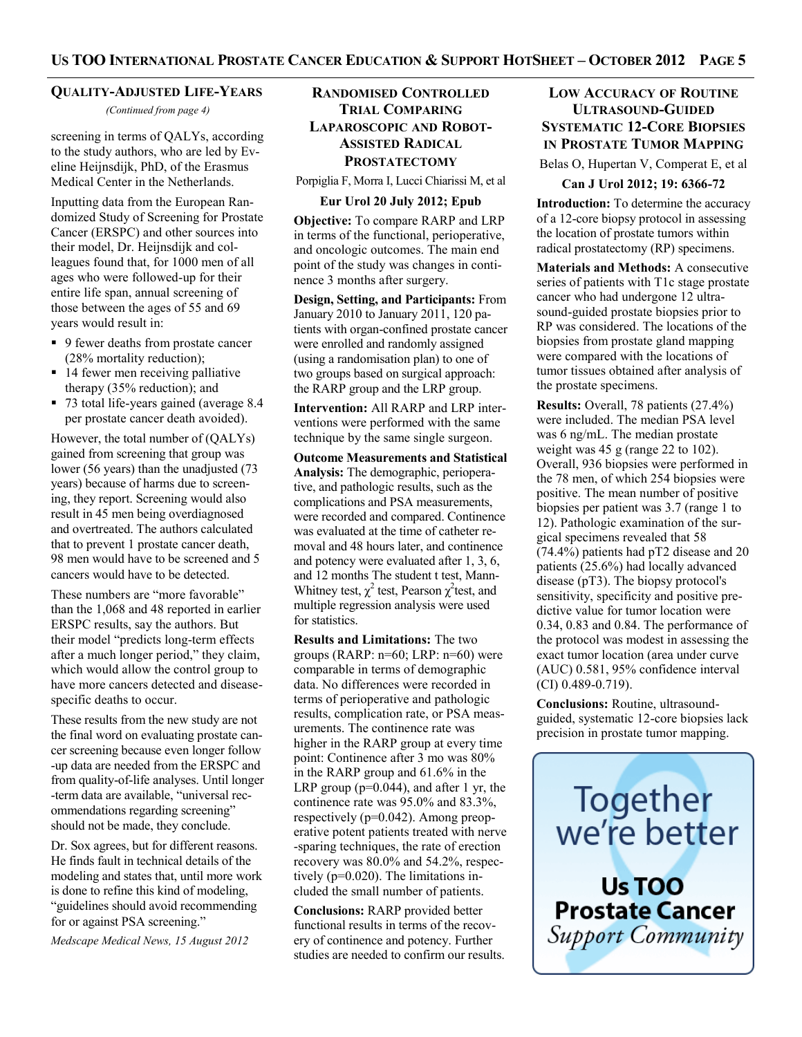### **QUALITY-ADJUSTED LIFE-YEARS**

*(Continued from page 4)*

screening in terms of QALYs, according to the study authors, who are led by Eveline Heijnsdijk, PhD, of the Erasmus Medical Center in the Netherlands.

Inputting data from the European Randomized Study of Screening for Prostate Cancer (ERSPC) and other sources into their model, Dr. Heijnsdijk and colleagues found that, for 1000 men of all ages who were followed-up for their entire life span, annual screening of those between the ages of 55 and 69 years would result in:

- 9 fewer deaths from prostate cancer (28% mortality reduction);
- 14 fewer men receiving palliative therapy (35% reduction); and
- 73 total life-years gained (average 8.4 per prostate cancer death avoided).

However, the total number of (QALYs) gained from screening that group was lower (56 years) than the unadjusted (73 years) because of harms due to screening, they report. Screening would also result in 45 men being overdiagnosed and overtreated. The authors calculated that to prevent 1 prostate cancer death, 98 men would have to be screened and 5 cancers would have to be detected.

These numbers are "more favorable" than the 1,068 and 48 reported in earlier ERSPC results, say the authors. But their model "predicts long-term effects after a much longer period," they claim, which would allow the control group to have more cancers detected and diseasespecific deaths to occur.

These results from the new study are not the final word on evaluating prostate cancer screening because even longer follow -up data are needed from the ERSPC and from quality-of-life analyses. Until longer -term data are available, "universal recommendations regarding screening" should not be made, they conclude.

Dr. Sox agrees, but for different reasons. He finds fault in technical details of the modeling and states that, until more work is done to refine this kind of modeling, "guidelines should avoid recommending for or against PSA screening."

*Medscape Medical News, 15 August 2012*

# **RANDOMISED CONTROLLED TRIAL COMPARING LAPAROSCOPIC AND ROBOT-ASSISTED RADICAL PROSTATECTOMY**

Porpiglia F, Morra I, Lucci Chiarissi M, et al

#### **Eur Urol 20 July 2012; Epub**

**Objective:** To compare RARP and LRP in terms of the functional, perioperative, and oncologic outcomes. The main end point of the study was changes in continence 3 months after surgery.

**Design, Setting, and Participants:** From January 2010 to January 2011, 120 patients with organ-confined prostate cancer were enrolled and randomly assigned (using a randomisation plan) to one of two groups based on surgical approach: the RARP group and the LRP group.

**Intervention:** All RARP and LRP interventions were performed with the same technique by the same single surgeon.

**Outcome Measurements and Statistical Analysis:** The demographic, perioperative, and pathologic results, such as the complications and PSA measurements, were recorded and compared. Continence was evaluated at the time of catheter removal and 48 hours later, and continence and potency were evaluated after 1, 3, 6, and 12 months The student t test, Mann-Whitney test,  $\chi^2$  test, Pearson  $\chi^2$  test, and multiple regression analysis were used for statistics.

**Results and Limitations:** The two groups (RARP: n=60; LRP: n=60) were comparable in terms of demographic data. No differences were recorded in terms of perioperative and pathologic results, complication rate, or PSA measurements. The continence rate was higher in the RARP group at every time point: Continence after 3 mo was 80% in the RARP group and 61.6% in the LRP group ( $p=0.044$ ), and after 1 yr, the continence rate was 95.0% and 83.3%, respectively (p=0.042). Among preoperative potent patients treated with nerve -sparing techniques, the rate of erection recovery was 80.0% and 54.2%, respectively (p=0.020). The limitations included the small number of patients.

**Conclusions:** RARP provided better functional results in terms of the recovery of continence and potency. Further studies are needed to confirm our results.

# **LOW ACCURACY OF ROUTINE ULTRASOUND-GUIDED SYSTEMATIC 12-CORE BIOPSIES IN PROSTATE TUMOR MAPPING**

Belas O, Hupertan V, Comperat E, et al

#### **Can J Urol 2012; 19: 6366-72**

**Introduction:** To determine the accuracy of a 12-core biopsy protocol in assessing the location of prostate tumors within radical prostatectomy (RP) specimens.

**Materials and Methods:** A consecutive series of patients with T1c stage prostate cancer who had undergone 12 ultrasound-guided prostate biopsies prior to RP was considered. The locations of the biopsies from prostate gland mapping were compared with the locations of tumor tissues obtained after analysis of the prostate specimens.

**Results:** Overall, 78 patients (27.4%) were included. The median PSA level was 6 ng/mL. The median prostate weight was 45 g (range 22 to 102). Overall, 936 biopsies were performed in the 78 men, of which 254 biopsies were positive. The mean number of positive biopsies per patient was 3.7 (range 1 to 12). Pathologic examination of the surgical specimens revealed that 58 (74.4%) patients had pT2 disease and 20 patients (25.6%) had locally advanced disease (pT3). The biopsy protocol's sensitivity, specificity and positive predictive value for tumor location were 0.34, 0.83 and 0.84. The performance of the protocol was modest in assessing the exact tumor location (area under curve (AUC) 0.581, 95% confidence interval (CI) 0.489-0.719).

**Conclusions:** Routine, ultrasoundguided, systematic 12-core biopsies lack precision in prostate tumor mapping.

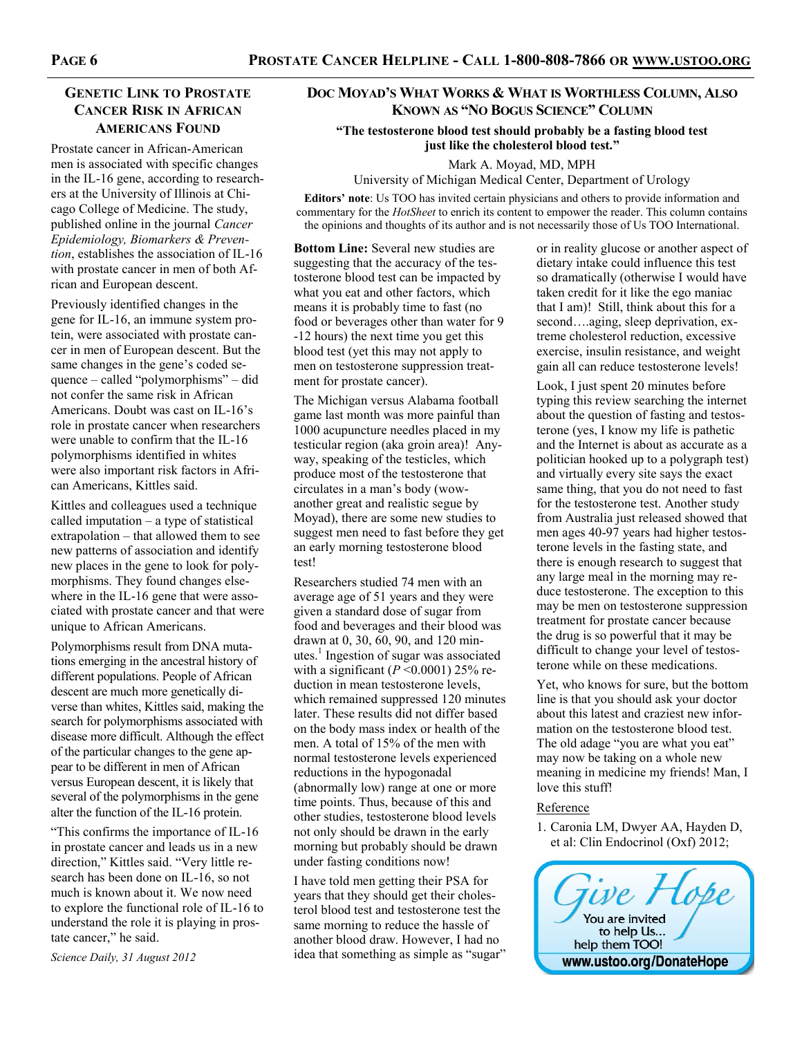# **GENETIC LINK TO PROSTATE CANCER RISK IN AFRICAN AMERICANS FOUND**

Prostate cancer in African-American men is associated with specific changes in the IL-16 gene, according to researchers at the University of Illinois at Chicago College of Medicine. The study, published online in the journal *Cancer Epidemiology, Biomarkers & Prevention*, establishes the association of IL-16 with prostate cancer in men of both African and European descent.

Previously identified changes in the gene for IL-16, an immune system protein, were associated with prostate cancer in men of European descent. But the same changes in the gene's coded sequence – called "polymorphisms" – did not confer the same risk in African Americans. Doubt was cast on IL-16's role in prostate cancer when researchers were unable to confirm that the IL-16 polymorphisms identified in whites were also important risk factors in African Americans, Kittles said.

Kittles and colleagues used a technique called imputation – a type of statistical extrapolation – that allowed them to see new patterns of association and identify new places in the gene to look for polymorphisms. They found changes elsewhere in the IL-16 gene that were associated with prostate cancer and that were unique to African Americans.

Polymorphisms result from DNA mutations emerging in the ancestral history of different populations. People of African descent are much more genetically diverse than whites, Kittles said, making the search for polymorphisms associated with disease more difficult. Although the effect of the particular changes to the gene appear to be different in men of African versus European descent, it is likely that several of the polymorphisms in the gene alter the function of the IL-16 protein.

"This confirms the importance of IL-16 in prostate cancer and leads us in a new direction," Kittles said. "Very little research has been done on IL-16, so not much is known about it. We now need to explore the functional role of IL-16 to understand the role it is playing in prostate cancer," he said.

*Science Daily, 31 August 2012*

# **DOC MOYAD'S WHAT WORKS & WHAT IS WORTHLESS COLUMN, ALSO KNOWN AS "NO BOGUS SCIENCE" COLUMN**

**"The testosterone blood test should probably be a fasting blood test just like the cholesterol blood test."**

Mark A. Moyad, MD, MPH

University of Michigan Medical Center, Department of Urology

**Editors' note**: Us TOO has invited certain physicians and others to provide information and commentary for the *HotSheet* to enrich its content to empower the reader. This column contains the opinions and thoughts of its author and is not necessarily those of Us TOO International.

**Bottom Line:** Several new studies are suggesting that the accuracy of the testosterone blood test can be impacted by what you eat and other factors, which means it is probably time to fast (no food or beverages other than water for 9 -12 hours) the next time you get this blood test (yet this may not apply to men on testosterone suppression treatment for prostate cancer).

The Michigan versus Alabama football game last month was more painful than 1000 acupuncture needles placed in my testicular region (aka groin area)! Anyway, speaking of the testicles, which produce most of the testosterone that circulates in a man's body (wowanother great and realistic segue by Moyad), there are some new studies to suggest men need to fast before they get an early morning testosterone blood test!

Researchers studied 74 men with an average age of 51 years and they were given a standard dose of sugar from food and beverages and their blood was drawn at 0, 30, 60, 90, and 120 minutes.<sup>1</sup> Ingestion of sugar was associated with a significant ( $P \le 0.0001$ ) 25% reduction in mean testosterone levels, which remained suppressed 120 minutes later. These results did not differ based on the body mass index or health of the men. A total of 15% of the men with normal testosterone levels experienced reductions in the hypogonadal (abnormally low) range at one or more time points. Thus, because of this and other studies, testosterone blood levels not only should be drawn in the early morning but probably should be drawn under fasting conditions now!

I have told men getting their PSA for years that they should get their cholesterol blood test and testosterone test the same morning to reduce the hassle of another blood draw. However, I had no idea that something as simple as "sugar" or in reality glucose or another aspect of dietary intake could influence this test so dramatically (otherwise I would have taken credit for it like the ego maniac that I am)! Still, think about this for a second….aging, sleep deprivation, extreme cholesterol reduction, excessive exercise, insulin resistance, and weight gain all can reduce testosterone levels!

Look, I just spent 20 minutes before typing this review searching the internet about the question of fasting and testosterone (yes, I know my life is pathetic and the Internet is about as accurate as a politician hooked up to a polygraph test) and virtually every site says the exact same thing, that you do not need to fast for the testosterone test. Another study from Australia just released showed that men ages 40-97 years had higher testosterone levels in the fasting state, and there is enough research to suggest that any large meal in the morning may reduce testosterone. The exception to this may be men on testosterone suppression treatment for prostate cancer because the drug is so powerful that it may be difficult to change your level of testosterone while on these medications.

Yet, who knows for sure, but the bottom line is that you should ask your doctor about this latest and craziest new information on the testosterone blood test. The old adage "you are what you eat" may now be taking on a whole new meaning in medicine my friends! Man, I love this stuff!

#### Reference

1. Caronia LM, Dwyer AA, Hayden D, et al: Clin Endocrinol (Oxf) 2012;

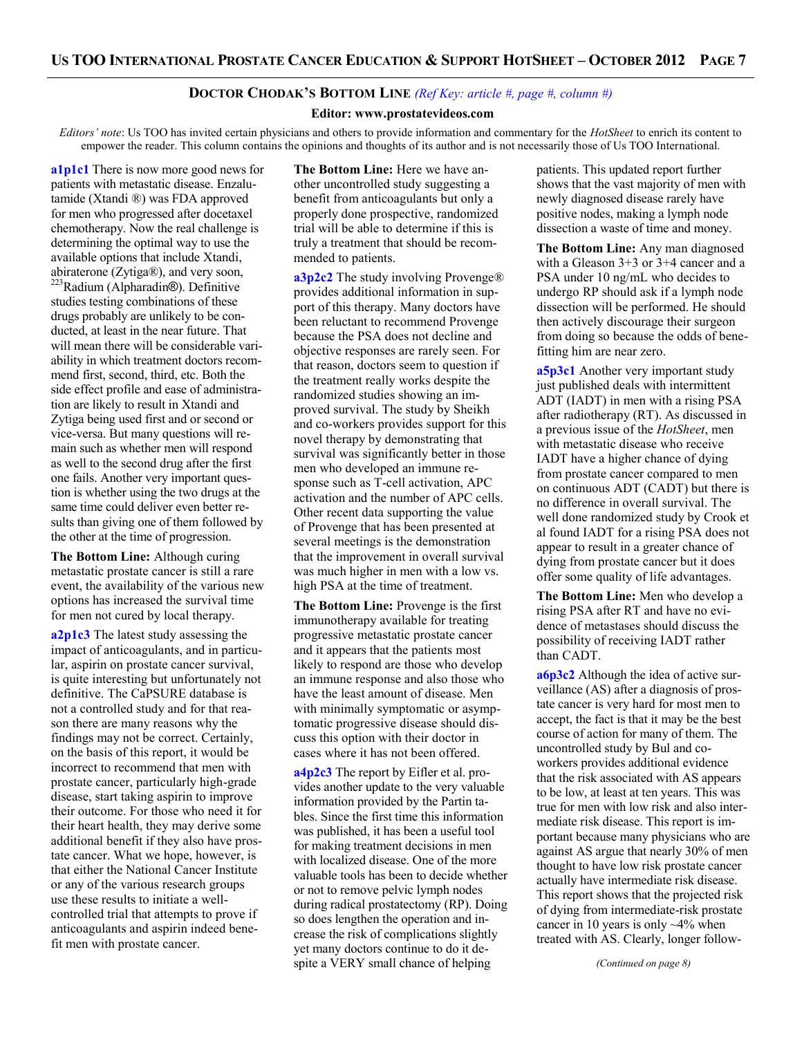### **DOCTOR CHODAK'S BOTTOM LINE** *(Ref Key: article #, page #, column #)*

#### **Editor: www.prostatevideos.com**

*Editors' note*: Us TOO has invited certain physicians and others to provide information and commentary for the *HotSheet* to enrich its content to empower the reader. This column contains the opinions and thoughts of its author and is not necessarily those of Us TOO International.

**a1p1c1** There is now more good news for patients with metastatic disease. Enzalutamide (Xtandi ®) was FDA approved for men who progressed after docetaxel chemotherapy. Now the real challenge is determining the optimal way to use the available options that include Xtandi, abiraterone (Zytiga®), and very soon, <sup>223</sup>Radium (Alpharadin®). Definitive studies testing combinations of these drugs probably are unlikely to be conducted, at least in the near future. That will mean there will be considerable variability in which treatment doctors recommend first, second, third, etc. Both the side effect profile and ease of administration are likely to result in Xtandi and Zytiga being used first and or second or vice-versa. But many questions will remain such as whether men will respond as well to the second drug after the first one fails. Another very important question is whether using the two drugs at the same time could deliver even better results than giving one of them followed by the other at the time of progression.

**The Bottom Line:** Although curing metastatic prostate cancer is still a rare event, the availability of the various new options has increased the survival time for men not cured by local therapy.

**a2p1c3** The latest study assessing the impact of anticoagulants, and in particular, aspirin on prostate cancer survival, is quite interesting but unfortunately not definitive. The CaPSURE database is not a controlled study and for that reason there are many reasons why the findings may not be correct. Certainly, on the basis of this report, it would be incorrect to recommend that men with prostate cancer, particularly high-grade disease, start taking aspirin to improve their outcome. For those who need it for their heart health, they may derive some additional benefit if they also have prostate cancer. What we hope, however, is that either the National Cancer Institute or any of the various research groups use these results to initiate a wellcontrolled trial that attempts to prove if anticoagulants and aspirin indeed benefit men with prostate cancer.

**The Bottom Line:** Here we have another uncontrolled study suggesting a benefit from anticoagulants but only a properly done prospective, randomized trial will be able to determine if this is truly a treatment that should be recommended to patients.

**a3p2c2** The study involving Provenge® provides additional information in support of this therapy. Many doctors have been reluctant to recommend Provenge because the PSA does not decline and objective responses are rarely seen. For that reason, doctors seem to question if the treatment really works despite the randomized studies showing an improved survival. The study by Sheikh and co-workers provides support for this novel therapy by demonstrating that survival was significantly better in those men who developed an immune response such as T-cell activation, APC activation and the number of APC cells. Other recent data supporting the value of Provenge that has been presented at several meetings is the demonstration that the improvement in overall survival was much higher in men with a low vs. high PSA at the time of treatment.

**The Bottom Line:** Provenge is the first immunotherapy available for treating progressive metastatic prostate cancer and it appears that the patients most likely to respond are those who develop an immune response and also those who have the least amount of disease. Men with minimally symptomatic or asymptomatic progressive disease should discuss this option with their doctor in cases where it has not been offered.

**a4p2c3** The report by Eifler et al. provides another update to the very valuable information provided by the Partin tables. Since the first time this information was published, it has been a useful tool for making treatment decisions in men with localized disease. One of the more valuable tools has been to decide whether or not to remove pelvic lymph nodes during radical prostatectomy (RP). Doing so does lengthen the operation and increase the risk of complications slightly yet many doctors continue to do it despite a VERY small chance of helping

patients. This updated report further shows that the vast majority of men with newly diagnosed disease rarely have positive nodes, making a lymph node dissection a waste of time and money.

**The Bottom Line:** Any man diagnosed with a Gleason 3+3 or 3+4 cancer and a PSA under 10 ng/mL who decides to undergo RP should ask if a lymph node dissection will be performed. He should then actively discourage their surgeon from doing so because the odds of benefitting him are near zero.

**a5p3c1** Another very important study just published deals with intermittent ADT (IADT) in men with a rising PSA after radiotherapy (RT). As discussed in a previous issue of the *HotSheet*, men with metastatic disease who receive IADT have a higher chance of dying from prostate cancer compared to men on continuous ADT (CADT) but there is no difference in overall survival. The well done randomized study by Crook et al found IADT for a rising PSA does not appear to result in a greater chance of dying from prostate cancer but it does offer some quality of life advantages.

**The Bottom Line:** Men who develop a rising PSA after RT and have no evidence of metastases should discuss the possibility of receiving IADT rather than CADT.

**a6p3c2** Although the idea of active surveillance (AS) after a diagnosis of prostate cancer is very hard for most men to accept, the fact is that it may be the best course of action for many of them. The uncontrolled study by Bul and coworkers provides additional evidence that the risk associated with AS appears to be low, at least at ten years. This was true for men with low risk and also intermediate risk disease. This report is important because many physicians who are against AS argue that nearly 30% of men thought to have low risk prostate cancer actually have intermediate risk disease. This report shows that the projected risk of dying from intermediate-risk prostate cancer in 10 years is only  $\sim$ 4% when treated with AS. Clearly, longer follow-

*(Continued on page 8)*